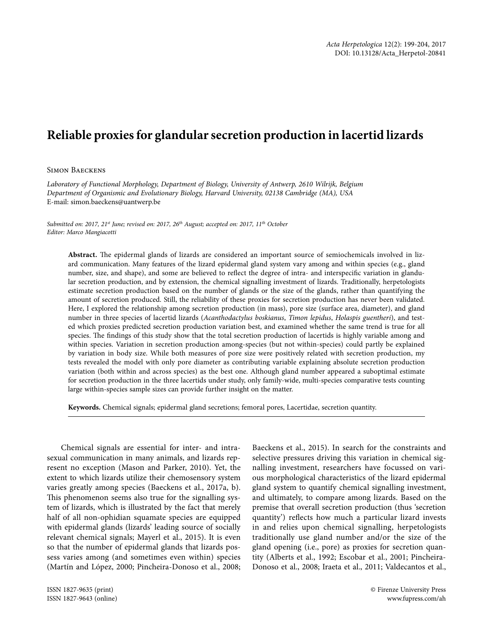## **Reliable proxies for glandular secretion production in lacertid lizards**

## Simon Baeckens

*Laboratory of Functional Morphology, Department of Biology, University of Antwerp, 2610 Wilrijk, Belgium Department of Organismic and Evolutionary Biology, Harvard University, 02138 Cambridge (MA), USA* E-mail: simon.baeckens@uantwerp.be

*Submitted on: 2017, 21st June; revised on: 2017, 26th August; accepted on: 2017, 11th October Editor: Marco Mangiacotti*

**Abstract.** The epidermal glands of lizards are considered an important source of semiochemicals involved in lizard communication. Many features of the lizard epidermal gland system vary among and within species (e.g., gland number, size, and shape), and some are believed to reflect the degree of intra- and interspecific variation in glandular secretion production, and by extension, the chemical signalling investment of lizards. Traditionally, herpetologists estimate secretion production based on the number of glands or the size of the glands, rather than quantifying the amount of secretion produced. Still, the reliability of these proxies for secretion production has never been validated. Here, I explored the relationship among secretion production (in mass), pore size (surface area, diameter), and gland number in three species of lacertid lizards (*Acanthodactylus boskianus*, *Timon lepidus*, *Holaspis guentheri*), and tested which proxies predicted secretion production variation best, and examined whether the same trend is true for all species. The findings of this study show that the total secretion production of lacertids is highly variable among and within species. Variation in secretion production among-species (but not within-species) could partly be explained by variation in body size. While both measures of pore size were positively related with secretion production, my tests revealed the model with only pore diameter as contributing variable explaining absolute secretion production variation (both within and across species) as the best one. Although gland number appeared a suboptimal estimate for secretion production in the three lacertids under study, only family-wide, multi-species comparative tests counting large within-species sample sizes can provide further insight on the matter.

**Keywords.** Chemical signals; epidermal gland secretions; femoral pores, Lacertidae, secretion quantity.

Chemical signals are essential for inter- and intrasexual communication in many animals, and lizards represent no exception (Mason and Parker, 2010). Yet, the extent to which lizards utilize their chemosensory system varies greatly among species (Baeckens et al., 2017a, b). This phenomenon seems also true for the signalling system of lizards, which is illustrated by the fact that merely half of all non-ophidian squamate species are equipped with epidermal glands (lizards' leading source of socially relevant chemical signals; Mayerl et al., 2015). It is even so that the number of epidermal glands that lizards possess varies among (and sometimes even within) species (Martín and López, 2000; Pincheira-Donoso et al., 2008;

Baeckens et al., 2015). In search for the constraints and selective pressures driving this variation in chemical signalling investment, researchers have focussed on various morphological characteristics of the lizard epidermal gland system to quantify chemical signalling investment, and ultimately, to compare among lizards. Based on the premise that overall secretion production (thus 'secretion quantity') reflects how much a particular lizard invests in and relies upon chemical signalling, herpetologists traditionally use gland number and/or the size of the gland opening (i.e., pore) as proxies for secretion quantity (Alberts et al., 1992; Escobar et al., 2001; Pincheira-Donoso et al., 2008; Iraeta et al., 2011; Valdecantos et al.,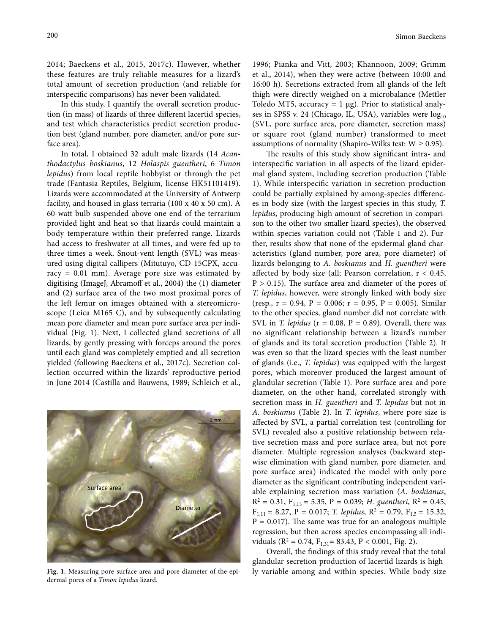2014; Baeckens et al., 2015, 2017c). However, whether these features are truly reliable measures for a lizard's total amount of secretion production (and reliable for interspecific comparisons) has never been validated.

In this study, I quantify the overall secretion production (in mass) of lizards of three different lacertid species, and test which characteristics predict secretion production best (gland number, pore diameter, and/or pore surface area).

In total, I obtained 32 adult male lizards (14 *Acanthodactylus boskianus*, 12 *Holaspis guentheri*, 6 *Timon lepidus*) from local reptile hobbyist or through the pet trade (Fantasia Reptiles, Belgium, license HK51101419). Lizards were accommodated at the University of Antwerp facility, and housed in glass terraria (100 x 40 x 50 cm). A 60-watt bulb suspended above one end of the terrarium provided light and heat so that lizards could maintain a body temperature within their preferred range. Lizards had access to freshwater at all times, and were fed up to three times a week. Snout-vent length (SVL) was measured using digital callipers (Mitutuyo, CD-15CPX, accuracy = 0.01 mm). Average pore size was estimated by digitising (ImageJ, Abramoff et al., 2004) the (1) diameter and (2) surface area of the two most proximal pores of the left femur on images obtained with a stereomicroscope (Leica M165 C), and by subsequently calculating mean pore diameter and mean pore surface area per individual (Fig. 1). Next, I collected gland secretions of all lizards, by gently pressing with forceps around the pores until each gland was completely emptied and all secretion yielded (following Baeckens et al., 2017c). Secretion collection occurred within the lizards' reproductive period in June 2014 (Castilla and Bauwens, 1989; Schleich et al.,



dermal pores of a *Timon lepidus* lizard.

1996; Pianka and Vitt, 2003; Khannoon, 2009; Grimm et al., 2014), when they were active (between 10:00 and 16:00 h). Secretions extracted from all glands of the left thigh were directly weighed on a microbalance (Mettler Toledo MT5, accuracy = 1  $\mu$ g). Prior to statistical analyses in SPSS v. 24 (Chicago, IL, USA), variables were  $log_{10}$ (SVL, pore surface area, pore diameter, secretion mass) or square root (gland number) transformed to meet assumptions of normality (Shapiro-Wilks test:  $W \ge 0.95$ ).

The results of this study show significant intra- and interspecific variation in all aspects of the lizard epidermal gland system, including secretion production (Table 1). While interspecific variation in secretion production could be partially explained by among-species differences in body size (with the largest species in this study, *T. lepidus*, producing high amount of secretion in comparison to the other two smaller lizard species), the observed within-species variation could not (Table 1 and 2). Further, results show that none of the epidermal gland characteristics (gland number, pore area, pore diameter) of lizards belonging to *A. boskianus* and *H. guentheri* were affected by body size (all; Pearson correlation,  $r < 0.45$ ,  $P > 0.15$ ). The surface area and diameter of the pores of *T. lepidus*, however, were strongly linked with body size (resp., r = 0.94, P = 0.006; r *=* 0.95, P = 0.005). Similar to the other species, gland number did not correlate with SVL in *T. lepidus* (r *=* 0.08, P = 0.89). Overall, there was no significant relationship between a lizard's number of glands and its total secretion production (Table 2). It was even so that the lizard species with the least number of glands (i.e., *T. lepidus*) was equipped with the largest pores, which moreover produced the largest amount of glandular secretion (Table 1). Pore surface area and pore diameter, on the other hand, correlated strongly with secretion mass in *H. guentheri* and *T. lepidus* but not in *A. boskianus* (Table 2). In *T. lepidus*, where pore size is affected by SVL, a partial correlation test (controlling for SVL) revealed also a positive relationship between relative secretion mass and pore surface area, but not pore diameter. Multiple regression analyses (backward stepwise elimination with gland number, pore diameter, and pore surface area) indicated the model with only pore diameter as the significant contributing independent variable explaining secretion mass variation (*A. boskianus*,  $R^2 = 0.31$ ,  $F_{1,13} = 5.35$ , P = 0.039; *H. guentheri*,  $R^2 = 0.45$ ,  $F_{1,11} = 8.27$ , P = 0.017; *T. lepidus*, R<sup>2</sup> = 0.79, F<sub>1.5</sub> = 15.32,  $P = 0.017$ ). The same was true for an analogous multiple regression, but then across species encompassing all individuals ( $R^2 = 0.74$ ,  $F_{1,31} = 83.43$ ,  $P < 0.001$ , Fig. 2).

Overall, the findings of this study reveal that the total glandular secretion production of lacertid lizards is high-Fig. 1. Measuring pore surface area and pore diameter of the epi- ly variable among and within species. While body size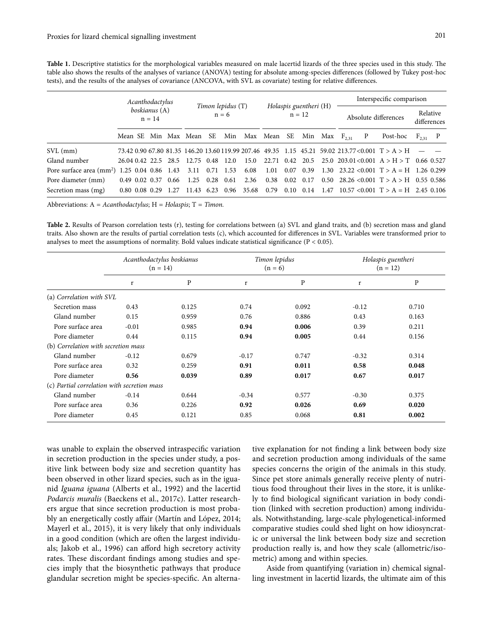Table 1. Descriptive statistics for the morphological variables measured on male lacertid lizards of the three species used in this study. The table also shows the results of the analyses of variance (ANOVA) testing for absolute among-species differences (followed by Tukey post-hoc tests), and the results of the analyses of covariance (ANCOVA, with SVL as covariate) testing for relative differences.

|                                                     | Acanthodactylus           |  |                      |                              |                         |  |                                    |                                   |                   |                      |      |  | Interspecific comparison |   |                                                                                                     |             |  |
|-----------------------------------------------------|---------------------------|--|----------------------|------------------------------|-------------------------|--|------------------------------------|-----------------------------------|-------------------|----------------------|------|--|--------------------------|---|-----------------------------------------------------------------------------------------------------|-------------|--|
|                                                     | boskianus (A)<br>$n = 14$ |  |                      | Timon lepidus (T)<br>$n = 6$ |                         |  | Holaspis guentheri (H)<br>$n = 12$ |                                   |                   | Absolute differences |      |  | Relative<br>differences  |   |                                                                                                     |             |  |
|                                                     |                           |  |                      |                              | Mean SE Min Max Mean SE |  |                                    | Min Max Mean SE Min Max $F_{231}$ |                   |                      |      |  |                          | P | Post-hoc                                                                                            | $F_{231}$ P |  |
| $SVL$ (mm)                                          |                           |  |                      |                              |                         |  |                                    |                                   |                   |                      |      |  |                          |   | 73.42 0.90 67.80 81.35 146.20 13.60 119.99 207.46 49.35 1.15 45.21 59.02 213.77 < 0.001 $T > A > H$ |             |  |
| Gland number                                        |                           |  |                      | 26.04.0.42.22.5.28.5         | 12.75 0.48 12.0         |  |                                    | 15.0                              |                   |                      |      |  |                          |   | 22.71 0.42 20.5 25.0 203.01<0.001 $A > H > T$ 0.66 0.527                                            |             |  |
| Pore surface area $\text{(mm)}$ 1.25 0.04 0.86 1.43 |                           |  |                      |                              | 3.11 0.71 1.53          |  |                                    | 6.08                              |                   |                      |      |  |                          |   | 1.01 0.07 0.39 1.30 23.22 < 0.001 $T > A = H$ 1.26 0.299                                            |             |  |
| Pore diameter (mm)                                  |                           |  | $0.49$ $0.02$ $0.37$ | 0.66                         | 1.25 0.28 0.61          |  |                                    | 2.36                              | $0.38 \quad 0.02$ |                      | 0.17 |  |                          |   | 0.50 28.26 < 0.001 $T > A > H$ 0.55 0.586                                                           |             |  |
| Secretion mass (mg)                                 |                           |  |                      | $0.80$ $0.08$ $0.29$ $1.27$  |                         |  |                                    | 11.43 6.23 0.96 35.68             |                   |                      |      |  |                          |   | 0.79 0.10 0.14 1.47 10.57 < 0.001 $T > A = H$ 2.45 0.106                                            |             |  |

Abbreviations: A = *Acanthodactylus*; H = *Holaspis*; T = *Timon.*

Table 2. Results of Pearson correlation tests (r), testing for correlations between (a) SVL and gland traits, and (b) secretion mass and gland traits. Also shown are the results of partial correlation tests (c), which accounted for differences in SVL. Variables were transformed prior to analyses to meet the assumptions of normality. Bold values indicate statistical significance ( $P < 0.05$ ).

|                                             |         | Acanthodactylus boskianus<br>$(n = 14)$ |         | Timon lepidus<br>$(n = 6)$ | Holaspis guentheri<br>$(n = 12)$ |       |  |
|---------------------------------------------|---------|-----------------------------------------|---------|----------------------------|----------------------------------|-------|--|
|                                             | r       | P                                       | r       | $\mathbf{P}$               | r                                | P     |  |
| (a) Correlation with SVL                    |         |                                         |         |                            |                                  |       |  |
| Secretion mass                              | 0.43    | 0.125                                   | 0.74    | 0.092                      | $-0.12$                          | 0.710 |  |
| Gland number                                | 0.15    | 0.959                                   | 0.76    | 0.886                      | 0.43                             | 0.163 |  |
| Pore surface area                           | $-0.01$ | 0.985                                   | 0.94    | 0.006                      | 0.39                             | 0.211 |  |
| Pore diameter                               | 0.44    | 0.115                                   | 0.94    | 0.005                      | 0.44                             | 0.156 |  |
| (b) Correlation with secretion mass         |         |                                         |         |                            |                                  |       |  |
| Gland number                                | $-0.12$ | 0.679                                   | $-0.17$ | 0.747                      | $-0.32$                          | 0.314 |  |
| Pore surface area                           | 0.32    | 0.259                                   | 0.91    | 0.011                      | 0.58                             | 0.048 |  |
| Pore diameter                               | 0.56    | 0.039                                   | 0.89    | 0.017                      | 0.67                             | 0.017 |  |
| (c) Partial correlation with secretion mass |         |                                         |         |                            |                                  |       |  |
| Gland number                                | $-0.14$ | 0.644                                   | $-0.34$ | 0.577                      | $-0.30$                          | 0.375 |  |
| Pore surface area                           | 0.36    | 0.226                                   | 0.92    | 0.026                      | 0.69                             | 0.020 |  |
| Pore diameter                               | 0.45    | 0.121                                   | 0.85    | 0.068                      | 0.81                             | 0.002 |  |

was unable to explain the observed intraspecific variation in secretion production in the species under study, a positive link between body size and secretion quantity has been observed in other lizard species, such as in the iguanid *Iguana iguana* (Alberts et al., 1992) and the lacertid *Podarcis muralis* (Baeckens et al., 2017c). Latter researchers argue that since secretion production is most probably an energetically costly affair (Martín and López, 2014; Mayerl et al., 2015), it is very likely that only individuals in a good condition (which are often the largest individuals; Jakob et al., 1996) can afford high secretory activity rates. These discordant findings among studies and species imply that the biosynthetic pathways that produce glandular secretion might be species-specific. An alterna-

tive explanation for not finding a link between body size and secretion production among individuals of the same species concerns the origin of the animals in this study. Since pet store animals generally receive plenty of nutritious food throughout their lives in the store, it is unlikely to find biological significant variation in body condition (linked with secretion production) among individuals. Notwithstanding, large-scale phylogenetical-informed comparative studies could shed light on how idiosyncratic or universal the link between body size and secretion production really is, and how they scale (allometric/isometric) among and within species.

Aside from quantifying (variation in) chemical signalling investment in lacertid lizards, the ultimate aim of this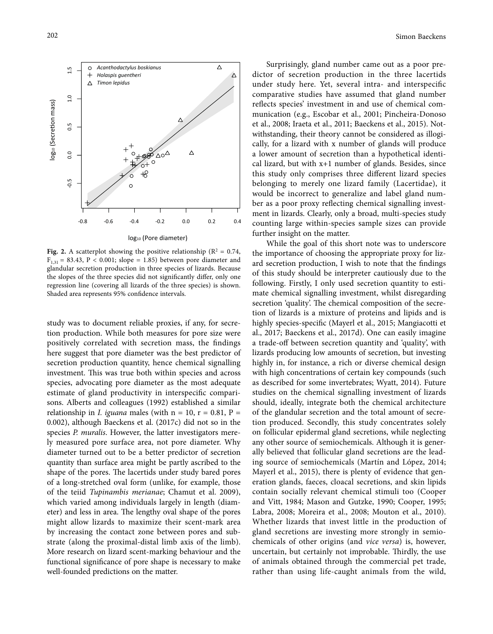

**Fig. 2.** A scatterplot showing the positive relationship ( $\mathbb{R}^2 = 0.74$ ,  $F_{1,31} = 83.43, P < 0.001$ ; slope = 1.85) between pore diameter and glandular secretion production in three species of lizards. Because the slopes of the three species did not significantly differ, only one regression line (covering all lizards of the three species) is shown. Shaded area represents 95% confidence intervals.

study was to document reliable proxies, if any, for secretion production. While both measures for pore size were positively correlated with secretion mass, the findings here suggest that pore diameter was the best predictor of secretion production quantity, hence chemical signalling investment. This was true both within species and across species, advocating pore diameter as the most adequate estimate of gland productivity in interspecific comparisons. Alberts and colleagues (1992) established a similar relationship in *I. iguana* males (with  $n = 10$ ,  $r = 0.81$ ,  $P =$ 0.002), although Baeckens et al. (2017c) did not so in the species *P. muralis*. However, the latter investigators merely measured pore surface area, not pore diameter. Why diameter turned out to be a better predictor of secretion quantity than surface area might be partly ascribed to the shape of the pores. The lacertids under study bared pores of a long-stretched oval form (unlike, for example, those of the teiid *Tupinambis merianae*; Chamut et al. 2009), which varied among individuals largely in length (diameter) and less in area. The lengthy oval shape of the pores might allow lizards to maximize their scent-mark area by increasing the contact zone between pores and substrate (along the proximal-distal limb axis of the limb). More research on lizard scent-marking behaviour and the functional significance of pore shape is necessary to make well-founded predictions on the matter.

Surprisingly, gland number came out as a poor predictor of secretion production in the three lacertids under study here. Yet, several intra- and interspecific comparative studies have assumed that gland number reflects species' investment in and use of chemical communication (e.g., Escobar et al., 2001; Pincheira-Donoso et al., 2008; Iraeta et al., 2011; Baeckens et al., 2015). Notwithstanding, their theory cannot be considered as illogically, for a lizard with x number of glands will produce a lower amount of secretion than a hypothetical identical lizard, but with x+1 number of glands. Besides, since this study only comprises three different lizard species belonging to merely one lizard family (Lacertidae), it would be incorrect to generalize and label gland number as a poor proxy reflecting chemical signalling investment in lizards. Clearly, only a broad, multi-species study counting large within-species sample sizes can provide further insight on the matter.

While the goal of this short note was to underscore the importance of choosing the appropriate proxy for lizard secretion production, I wish to note that the findings of this study should be interpreter cautiously due to the following. Firstly, I only used secretion quantity to estimate chemical signalling investment, whilst disregarding secretion 'quality'. The chemical composition of the secretion of lizards is a mixture of proteins and lipids and is highly species-specific (Mayerl et al., 2015; Mangiacotti et al., 2017; Baeckens et al., 2017d). One can easily imagine a trade-off between secretion quantity and 'quality', with lizards producing low amounts of secretion, but investing highly in, for instance, a rich or diverse chemical design with high concentrations of certain key compounds (such as described for some invertebrates; Wyatt, 2014). Future studies on the chemical signalling investment of lizards should, ideally, integrate both the chemical architecture of the glandular secretion and the total amount of secretion produced. Secondly, this study concentrates solely on follicular epidermal gland secretions, while neglecting any other source of semiochemicals. Although it is generally believed that follicular gland secretions are the leading source of semiochemicals (Martín and López, 2014; Mayerl et al., 2015), there is plenty of evidence that generation glands, faeces, cloacal secretions, and skin lipids contain socially relevant chemical stimuli too (Cooper and Vitt, 1984; Mason and Gutzke, 1990; Cooper, 1995; Labra, 2008; Moreira et al., 2008; Mouton et al., 2010). Whether lizards that invest little in the production of gland secretions are investing more strongly in semiochemicals of other origins (and *vice versa*) is, however, uncertain, but certainly not improbable. Thirdly, the use of animals obtained through the commercial pet trade, rather than using life-caught animals from the wild,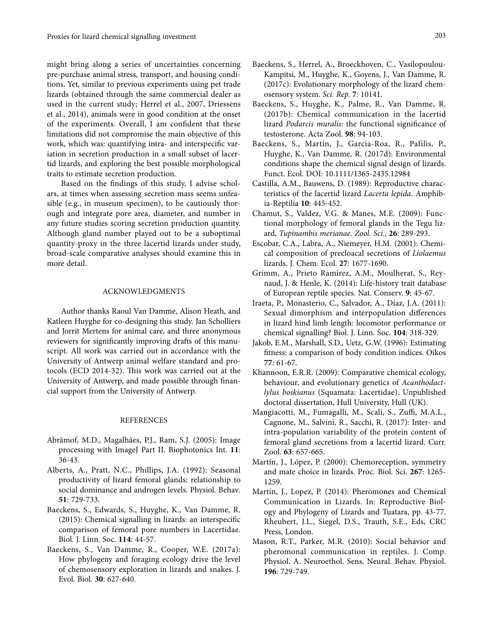might bring along a series of uncertainties concerning pre-purchase animal stress, transport, and housing conditions. Yet, similar to previous experiments using pet trade lizards (obtained through the same commercial dealer as used in the current study; Herrel et al., 2007, Driessens et al., 2014), animals were in good condition at the onset of the experiments. Overall, I am confident that these limitations did not compromise the main objective of this work, which was: quantifying intra- and interspecific variation in secretion production in a small subset of lacertid lizards, and exploring the best possible morphological traits to estimate secretion production.

Based on the findings of this study, I advise scholars, at times when assessing secretion mass seems unfeasible (e.g., in museum specimen), to be cautiously thorough and integrate pore area, diameter, and number in any future studies scoring secretion production quantity. Although gland number played out to be a suboptimal quantity-proxy in the three lacertid lizards under study, broad-scale comparative analyses should examine this in more detail.

## ACKNOWLEDGMENTS

Author thanks Raoul Van Damme, Alison Heath, and Katleen Huyghe for co-designing this study. Jan Scholliers and Jorrit Mertens for animal care, and three anonymous reviewers for significantly improving drafts of this manuscript. All work was carried out in accordance with the University of Antwerp animal welfare standard and protocols (ECD 2014-32). This work was carried out at the University of Antwerp, and made possible through financial support from the University of Antwerp.

## REFERENCES

- Abràmof, M.D., Magalhães, P.J., Ram, S.J. (2005): Image processing with ImageJ Part II. Biophotonics Int. **11**: 36-43.
- Alberts, A., Pratt, N.C., Phillips, J.A. (1992): Seasonal productivity of lizard femoral glands: relationship to social dominance and androgen levels. Physiol. Behav*.* **51**: 729-733.
- Baeckens, S., Edwards, S., Huyghe, K., Van Damme, R. (2015): Chemical signalling in lizards: an interspecific comparison of femoral pore numbers in Lacertidae. Biol. J. Linn. Soc. **114**: 44-57.
- Baeckens, S., Van Damme, R., Cooper, W.E. (2017a): How phylogeny and foraging ecology drive the level of chemosensory exploration in lizards and snakes. J. Evol. Biol*.* **30**: 627-640.
- Baeckens, S., Herrel, A., Broeckhoven, C., Vasilopoulou-Kampitsi, M., Huyghe, K., Goyens, J., Van Damme, R. (2017c): Evolutionary morphology of the lizard chemosensory system. *Sci. Rep.* **7**: 10141.
- Baeckens, S., Huyghe, K., Palme, R., Van Damme, R. (2017b): Chemical communication in the lacertid lizard *Podarcis muralis*: the functional significance of testosterone. Acta Zool. **98**: 94-103.
- Baeckens, S., Martín, J., Garcia-Roa, R., Pafilis, P., Huyghe, K., Van Damme, R. (2017d): Environmental conditions shape the chemical signal design of lizards. Funct. Ecol. DOI: 10.1111/1365-2435.12984
- Castilla, A.M., Bauwens, D. (1989): Reproductive characteristics of the lacertid lizard *Lacerta lepida*. Amphibia-Reptilia **10**: 445-452.
- Chamut, S., Valdez, V.G. & Manes, M.E. (2009): Functional morphology of femoral glands in the Tegu lizard, *Tupinambis merianae*. *Zool. Sci.*, **26**: 289-293.
- Escobar, C.A., Labra, A., Niemeyer, H.M. (2001): Chemical composition of precloacal secretions of *Liolaemus* lizards. J. Chem. Ecol. **27**: 1677-1690.
- Grimm, A., Prieto Ramírez, A.M., Moulherat, S., Reynaud, J. & Henle, K. (2014): Life-history trait database of European reptile species. Nat. Conserv. **9**: 45-67.
- Iraeta, P., Monasterio, C., Salvador, A., Díaz, J.A. (2011): Sexual dimorphism and interpopulation differences in lizard hind limb length: locomotor performance or chemical signalling? Biol. J. Linn. Soc. **104**: 318-329.
- Jakob, E.M., Marshall, S.D., Uetz, G.W. (1996): Estimating fitness: a comparison of body condition indices. Oikos **77**: 61-67.
- Khannoon, E.R.R. (2009): Comparative chemical ecology, behaviour, and evolutionary genetics of *Acanthodactlylus boskianus* (Squamata: Lacertidae). Unpublished doctoral dissertation, Hull University, Hull (UK).
- Mangiacotti, M., Fumagalli, M., Scali, S., Zuffi, M.A.L., Cagnone, M., Salvini, R., Sacchi, R. (2017): Inter- and intra-population variability of the protein content of femoral gland secretions from a lacertid lizard. Curr. Zool. **63**: 657-665.
- Martín, J., López, P. (2000): Chemoreception, symmetry and mate choice in lizards. Proc. Biol. Sci. **267**: 1265- 1259.
- Martín, J., Lopez, P. (2014): Pheromones and Chemical Communication in Lizards. In: Reproductive Biology and Phylogeny of Lizards and Tuatara, pp. 43-77. Rheubert, J.L., Siegel, D.S., Trauth, S.E., Eds, CRC Press, London.
- Mason, R.T., Parker, M.R. (2010): Social behavior and pheromonal communication in reptiles. J. Comp. Physiol. A. Neuroethol. Sens. Neural. Behav. Physiol. **196**: 729-749.